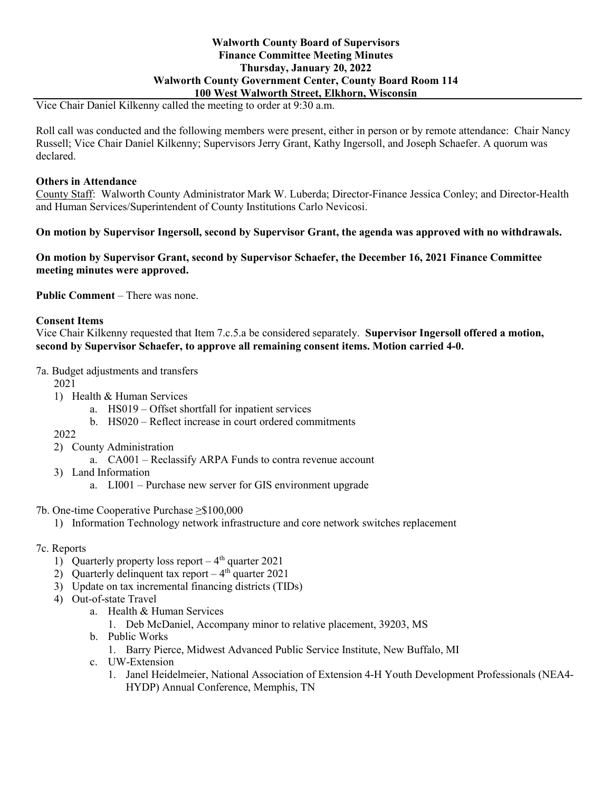### **Walworth County Board of Supervisors Finance Committee Meeting Minutes Thursday, January 20, 2022 Walworth County Government Center, County Board Room 114 100 West Walworth Street, Elkhorn, Wisconsin**

Vice Chair Daniel Kilkenny called the meeting to order at 9:30 a.m.

Roll call was conducted and the following members were present, either in person or by remote attendance: Chair Nancy Russell; Vice Chair Daniel Kilkenny; Supervisors Jerry Grant, Kathy Ingersoll, and Joseph Schaefer. A quorum was declared.

### **Others in Attendance**

County Staff: Walworth County Administrator Mark W. Luberda; Director-Finance Jessica Conley; and Director-Health and Human Services/Superintendent of County Institutions Carlo Nevicosi.

**On motion by Supervisor Ingersoll, second by Supervisor Grant, the agenda was approved with no withdrawals.**

**On motion by Supervisor Grant, second by Supervisor Schaefer, the December 16, 2021 Finance Committee meeting minutes were approved.**

**Public Comment** – There was none.

### **Consent Items**

Vice Chair Kilkenny requested that Item 7.c.5.a be considered separately. **Supervisor Ingersoll offered a motion, second by Supervisor Schaefer, to approve all remaining consent items. Motion carried 4-0.**

7a. Budget adjustments and transfers

2021

- 1) Health & Human Services
	- a. HS019 Offset shortfall for inpatient services
	- b. HS020 Reflect increase in court ordered commitments

2022

- 2) County Administration
	- a. CA001 Reclassify ARPA Funds to contra revenue account
- 3) Land Information
	- a. LI001 Purchase new server for GIS environment upgrade
- 7b. One-time Cooperative Purchase ≥\$100,000
	- 1) Information Technology network infrastructure and core network switches replacement

### 7c. Reports

- 1) Quarterly property loss report  $-4<sup>th</sup>$  quarter 2021
- 2) Quarterly delinquent tax report  $-4<sup>th</sup>$  quarter 2021
- 3) Update on tax incremental financing districts (TIDs)
- 4) Out-of-state Travel
	- a. Health & Human Services
		- 1. Deb McDaniel, Accompany minor to relative placement, 39203, MS
	- b. Public Works
		- 1. Barry Pierce, Midwest Advanced Public Service Institute, New Buffalo, MI
	- c. UW-Extension
		- 1. Janel Heidelmeier, National Association of Extension 4-H Youth Development Professionals (NEA4- HYDP) Annual Conference, Memphis, TN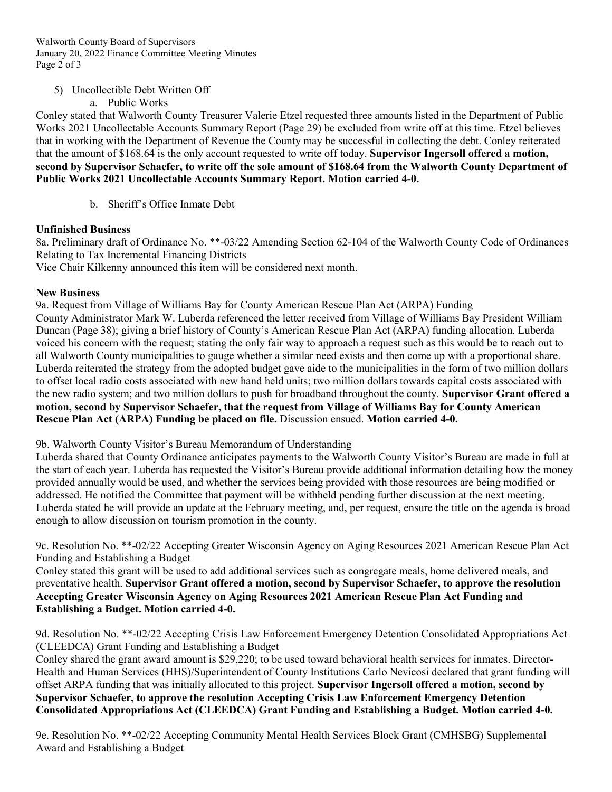Walworth County Board of Supervisors January 20, 2022 Finance Committee Meeting Minutes Page 2 of 3

5) Uncollectible Debt Written Off

a. Public Works

Conley stated that Walworth County Treasurer Valerie Etzel requested three amounts listed in the Department of Public Works 2021 Uncollectable Accounts Summary Report (Page 29) be excluded from write off at this time. Etzel believes that in working with the Department of Revenue the County may be successful in collecting the debt. Conley reiterated that the amount of \$168.64 is the only account requested to write off today. **Supervisor Ingersoll offered a motion, second by Supervisor Schaefer, to write off the sole amount of \$168.64 from the Walworth County Department of Public Works 2021 Uncollectable Accounts Summary Report. Motion carried 4-0.**

b. Sheriff's Office Inmate Debt

# **Unfinished Business**

8a. Preliminary draft of Ordinance No. \*\*-03/22 Amending Section 62-104 of the Walworth County Code of Ordinances Relating to Tax Incremental Financing Districts Vice Chair Kilkenny announced this item will be considered next month.

## **New Business**

9a. Request from Village of Williams Bay for County American Rescue Plan Act (ARPA) Funding County Administrator Mark W. Luberda referenced the letter received from Village of Williams Bay President William Duncan (Page 38); giving a brief history of County's American Rescue Plan Act (ARPA) funding allocation. Luberda voiced his concern with the request; stating the only fair way to approach a request such as this would be to reach out to all Walworth County municipalities to gauge whether a similar need exists and then come up with a proportional share. Luberda reiterated the strategy from the adopted budget gave aide to the municipalities in the form of two million dollars to offset local radio costs associated with new hand held units; two million dollars towards capital costs associated with the new radio system; and two million dollars to push for broadband throughout the county. **Supervisor Grant offered a motion, second by Supervisor Schaefer, that the request from Village of Williams Bay for County American Rescue Plan Act (ARPA) Funding be placed on file.** Discussion ensued. **Motion carried 4-0.**

9b. Walworth County Visitor's Bureau Memorandum of Understanding

Luberda shared that County Ordinance anticipates payments to the Walworth County Visitor's Bureau are made in full at the start of each year. Luberda has requested the Visitor's Bureau provide additional information detailing how the money provided annually would be used, and whether the services being provided with those resources are being modified or addressed. He notified the Committee that payment will be withheld pending further discussion at the next meeting. Luberda stated he will provide an update at the February meeting, and, per request, ensure the title on the agenda is broad enough to allow discussion on tourism promotion in the county.

9c. Resolution No. \*\*-02/22 Accepting Greater Wisconsin Agency on Aging Resources 2021 American Rescue Plan Act Funding and Establishing a Budget

Conley stated this grant will be used to add additional services such as congregate meals, home delivered meals, and preventative health. **Supervisor Grant offered a motion, second by Supervisor Schaefer, to approve the resolution Accepting Greater Wisconsin Agency on Aging Resources 2021 American Rescue Plan Act Funding and Establishing a Budget. Motion carried 4-0.**

9d. Resolution No. \*\*-02/22 Accepting Crisis Law Enforcement Emergency Detention Consolidated Appropriations Act (CLEEDCA) Grant Funding and Establishing a Budget

Conley shared the grant award amount is \$29,220; to be used toward behavioral health services for inmates. Director-Health and Human Services (HHS)/Superintendent of County Institutions Carlo Nevicosi declared that grant funding will offset ARPA funding that was initially allocated to this project. **Supervisor Ingersoll offered a motion, second by Supervisor Schaefer, to approve the resolution Accepting Crisis Law Enforcement Emergency Detention Consolidated Appropriations Act (CLEEDCA) Grant Funding and Establishing a Budget. Motion carried 4-0.**

9e. Resolution No. \*\*-02/22 Accepting Community Mental Health Services Block Grant (CMHSBG) Supplemental Award and Establishing a Budget